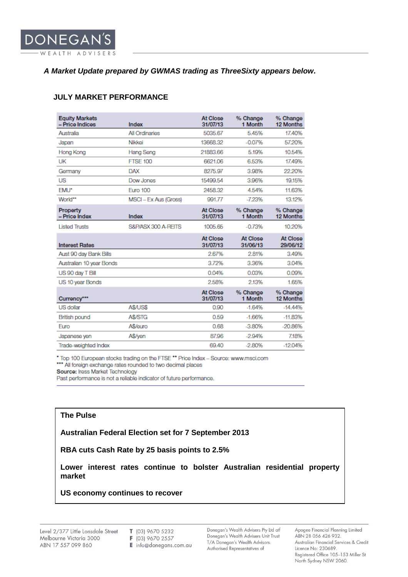# *A Market Update prepared by GWMAS trading as ThreeSixty appears below.*

### **JULY MARKET PERFORMANCE**

| <b>Equity Markets</b><br>- Price Indices | Index                 | At Close<br>31/07/13 | % Change<br>1 Month  | % Change<br>12 Months       |
|------------------------------------------|-----------------------|----------------------|----------------------|-----------------------------|
| Australia                                | <b>All Ordinaries</b> | 5035.67              | 5.45%                | 17.40%                      |
| Japan                                    | Nikkei                | 13668.32             | $-0.07%$             | 57.20%                      |
| Hong Kong                                | Hang Seng             | 21883.66             | 5.19%                | 10.54%                      |
| UK                                       | <b>FTSE 100</b>       | 6621.06              | 6.53%                | 17.49%                      |
| Germany                                  | <b>DAX</b>            | 8275.97              | 3.98%                | 22.20%                      |
| <b>US</b>                                | Dow Jones             | 15499.54             | 3.96%                | 19.15%                      |
| EMU*                                     | <b>Euro 100</b>       | 2458.32              | 4.54%                | 11.63%                      |
| World**                                  | MSCI - Ex Aus (Gross) | 991.77               | $-7.23%$             | 13.12%                      |
| Property<br>- Price Index                | Index                 | At Close<br>31/07/13 | % Change<br>1 Month  | % Change<br>12 Months       |
| <b>Listed Trusts</b>                     | S&P/ASX 300 A-REITS   | 1005.65              | $-0.73%$             | 10.20%                      |
| <b>Interest Rates</b>                    |                       | At Close<br>31/07/13 | At Close<br>31/06/13 | <b>At Close</b><br>29/06/12 |
| Aust 90 day Bank Bills                   |                       | 2.67%                | 2.81%                | 3.49%                       |
| Australian 10 year Bonds                 |                       | 3.72%                | 3.36%                | 3.04%                       |
| US 90 day T Bill                         |                       | 0.04%                | 0.03%                | 0.09%                       |
| US 10 year Bonds                         |                       | 2.58%                | 2.13%                | 1.65%                       |
| Currency***                              |                       | At Close<br>31/07/13 | % Change<br>1 Month  | % Change<br>12 Months       |
| <b>US dollar</b>                         | A\$/US\$              | 0.90                 | $-1.64%$             | $-14.44%$                   |
| <b>British pound</b>                     | A\$/STG               | 0.59                 | $-1.66%$             | $-11.83%$                   |
| Euro                                     | A\$/euro              | 0.68                 | $-3.80%$             | $-20.86%$                   |
| Japanese yen                             | A\$/ven               | 87.96                | $-2.94%$             | 7.18%                       |
| Trade-weighted Index                     |                       | 69.40                | $-2.80%$             | $-12.04%$                   |

\* Top 100 European stocks trading on the FTSE \*\* Price Index - Source: www.msci.com<br>\*\*\* All foreign exchange rates rounded to two decimal places

Source: Iress Market Technology

Past performance is not a reliable indicator of future performance.

### **The Pulse**

**Australian Federal Election set for 7 September 2013**

**RBA cuts Cash Rate by 25 basis points to 2.5%**

**Lower interest rates continue to bolster Australian residential property market**

#### **US economy continues to recover**

T (03) 9670 5232 F (03) 9670 2557

E info@donegans.com.au

Donegan's Wealth Advisers Pty Ltd atf Donegan's Wealth Advisers Unit Trust T/A Donegan's Wealth Advisors. Authorised Representatives of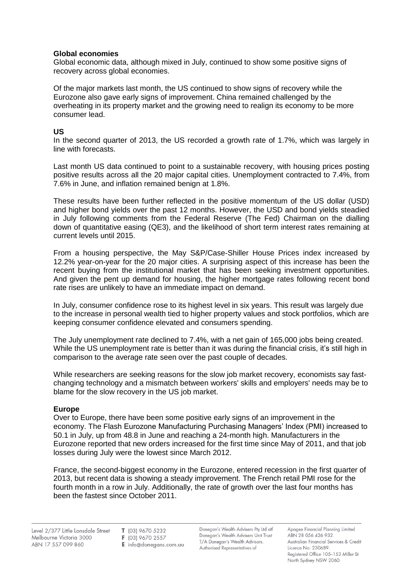### **Global economies**

Global economic data, although mixed in July, continued to show some positive signs of recovery across global economies.

Of the major markets last month, the US continued to show signs of recovery while the Eurozone also gave early signs of improvement. China remained challenged by the overheating in its property market and the growing need to realign its economy to be more consumer lead.

# **US**

In the second quarter of 2013, the US recorded a growth rate of 1.7%, which was largely in line with forecasts.

Last month US data continued to point to a sustainable recovery, with housing prices posting positive results across all the 20 major capital cities. Unemployment contracted to 7.4%, from 7.6% in June, and inflation remained benign at 1.8%.

These results have been further reflected in the positive momentum of the US dollar (USD) and higher bond yields over the past 12 months. However, the USD and bond yields steadied in July following comments from the Federal Reserve (The Fed) Chairman on the dialling down of quantitative easing (QE3), and the likelihood of short term interest rates remaining at current levels until 2015.

From a housing perspective, the May S&P/Case-Shiller House Prices index increased by 12.2% year-on-year for the 20 major cities. A surprising aspect of this increase has been the recent buying from the institutional market that has been seeking investment opportunities. And given the pent up demand for housing, the higher mortgage rates following recent bond rate rises are unlikely to have an immediate impact on demand.

In July, consumer confidence rose to its highest level in six years. This result was largely due to the increase in personal wealth tied to higher property values and [stock portfolios,](http://www.bloomberg.com/quote/SPX:IND) which are keeping consumer confidence elevated and consumers spending.

The July unemployment rate declined to 7.4%, with a net gain of 165,000 jobs being created. While the US unemployment rate is better than it was during the financial crisis, it's still high in comparison to the average rate seen over the past couple of decades.

While researchers are seeking reasons for the slow job market recovery, economists say fastchanging technology and a mismatch between workers' skills and employers' needs may be to blame for the slow recovery in the US job market.

# **Europe**

Over to Europe, there have been some positive early signs of an improvement in the economy. The Flash Eurozone Manufacturing Purchasing Managers' Index (PMI) increased to 50.1 in July, up from 48.8 in June and reaching a 24-month high. Manufacturers in the Eurozone reported that new orders increased for the first time since May of 2011, and that job losses during July were the lowest since March 2012.

France, the second-biggest economy in the Eurozone, entered recession in the first quarter of 2013, but recent data is showing a steady improvement. The French retail PMI rose for the fourth month in a row in July. Additionally, the rate of growth over the last four months has been the fastest since October 2011.

F (03) 9670 2557

 $E$  info@donegans.com.au

Donegan's Wealth Advisers Pty Ltd atf Donegan's Wealth Advisers Unit Trust T/A Donegan's Wealth Advisors. Authorised Representatives of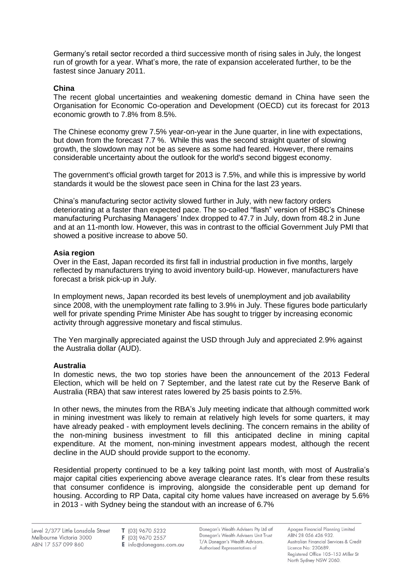Germany's retail sector recorded a third successive month of rising sales in July, the longest run of growth for a year. What's more, the rate of expansion accelerated further, to be the fastest since January 2011.

# **China**

The recent global uncertainties and weakening domestic demand in China have seen the Organisation for Economic Co-operation and Development (OECD) cut its forecast for 2013 economic growth to 7.8% from 8.5%.

The Chinese economy grew 7.5% year-on-year in the June quarter, in line with expectations, but down from the forecast 7.7 %. While this was the second straight quarter of slowing growth, the slowdown may not be as severe as some had feared. However, there remains considerable uncertainty about the outlook for the world's second biggest economy.

The government's official growth target for 2013 is 7.5%, and while this is impressive by world standards it would be the slowest pace seen in China for the last 23 years.

China's manufacturing sector activity slowed further in July, with new factory orders deteriorating at a faster than expected pace. The so-called "flash" version of HSBC's Chinese manufacturing Purchasing Managers' Index dropped to 47.7 in July, down from [48.2 in](http://www.marketwatch.com/story/china-factory-activity-data-weaken-in-june-2013-06-30) June and at an 11-month low. However, this was in contrast to the official Government July PMI that showed a positive increase to above 50.

### **Asia region**

Over in the East, Japan recorded its first fall in industrial production in five months, largely reflected by manufacturers trying to avoid inventory build-up. However, manufacturers have forecast a brisk pick-up in July.

In employment news, Japan recorded its best levels of unemployment and job availability since 2008, with the unemployment rate falling to 3.9% in July. These figures bode particularly well for private spending Prime Minister Abe has sought to trigger by increasing economic activity through aggressive monetary and fiscal stimulus.

The Yen marginally appreciated against the USD through July and appreciated 2.9% against the Australia dollar (AUD).

### **Australia**

In domestic news, the two top stories have been the announcement of the 2013 Federal Election, which will be held on 7 September, and the latest rate cut by the Reserve Bank of Australia (RBA) that saw interest rates lowered by 25 basis points to 2.5%.

In other news, the minutes from the RBA's July meeting indicate that although committed work in mining investment was likely to remain at relatively high levels for some quarters, it may have already peaked - with employment levels declining. The concern remains in the ability of the non-mining business investment to fill this anticipated decline in mining capital expenditure. At the moment, non-mining investment appears modest, although the recent decline in the AUD should provide support to the economy.

Residential property continued to be a key talking point last month, with most of Australia's major capital cities experiencing above average clearance rates. It's clear from these results that consumer confidence is improving, alongside the considerable pent up demand for housing. According to RP Data, capital city home values have increased on average by 5.6% in 2013 - with Sydney being the standout with an increase of 6.7%

F (03) 9670 2557

E info@donegans.com.au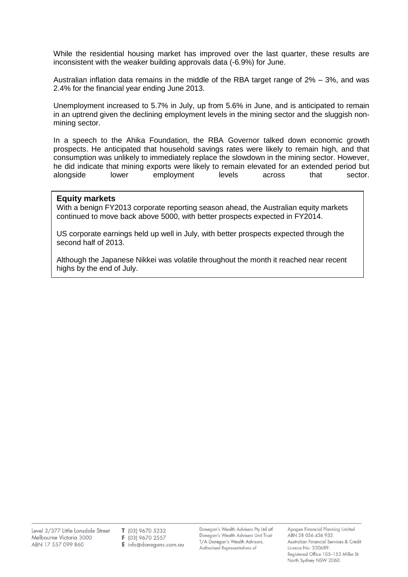While the residential housing market has improved over the last quarter, these results are inconsistent with the weaker building approvals data (-6.9%) for June.

Australian inflation data remains in the middle of the RBA target range of 2% – 3%, and was 2.4% for the financial year ending June 2013.

Unemployment increased to 5.7% in July, up from 5.6% in June, and is anticipated to remain in an uptrend given the declining employment levels in the mining sector and the sluggish nonmining sector.

In a speech to the Ahika Foundation, the RBA Governor talked down economic growth prospects. He anticipated that household savings rates were likely to remain high, and that consumption was unlikely to immediately replace the slowdown in the mining sector. However, he did indicate that mining exports were likely to remain elevated for an extended period but alongside lower employment levels across that sector.

#### **Equity markets**

With a benign FY2013 corporate reporting season ahead, the Australian equity markets continued to move back above 5000, with better prospects expected in FY2014.

US corporate earnings held up well in July, with better prospects expected through the second half of 2013.

Although the Japanese Nikkei was volatile throughout the month it reached near recent highs by the end of July.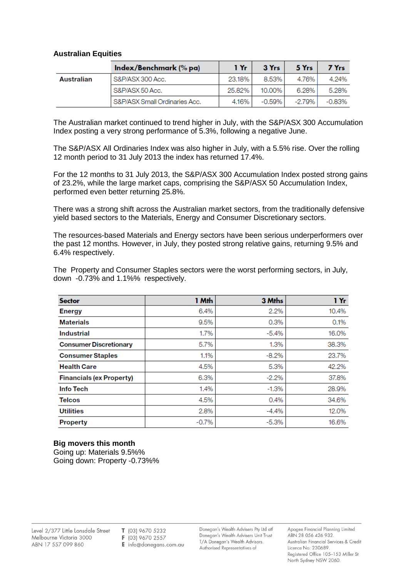#### **Australian Equities**

|            | Index/Benchmark (% pa)        | 1 Yr   | 3 Yrs  | 5 Yrs  | 7 Yrs  |
|------------|-------------------------------|--------|--------|--------|--------|
| Australian | S&P/ASX 300 Acc.              | 23.18% | 8.53%  | 4.76%  | 4.24%  |
|            | S&P/ASX 50 Acc.               | 25.82% | 10.00% | 6.28%  | 5.28%  |
|            | S&P/ASX Small Ordinaries Acc. | 4.16%  | -0.59% | -2.79% | -0.83% |

The Australian market continued to trend higher in July, with the S&P/ASX 300 Accumulation Index posting a very strong performance of 5.3%, following a negative June.

The S&P/ASX All Ordinaries Index was also higher in July, with a 5.5% rise. Over the rolling 12 month period to 31 July 2013 the index has returned 17.4%.

For the 12 months to 31 July 2013, the S&P/ASX 300 Accumulation Index posted strong gains of 23.2%, while the large market caps, comprising the S&P/ASX 50 Accumulation Index, performed even better returning 25.8%.

There was a strong shift across the Australian market sectors, from the traditionally defensive yield based sectors to the Materials, Energy and Consumer Discretionary sectors.

The resources-based Materials and Energy sectors have been serious underperformers over the past 12 months. However, in July, they posted strong relative gains, returning 9.5% and 6.4% respectively.

| <b>Sector</b>                   | 1 Mth   | 3 Mihs  | 1 Yr  |
|---------------------------------|---------|---------|-------|
| <b>Energy</b>                   | 6.4%    | 2.2%    | 10.4% |
| <b>Materials</b>                | 9.5%    | 0.3%    | 0.1%  |
| <b>Industrial</b>               | 1.7%    | $-5.4%$ | 16.0% |
| <b>Consumer Discretionary</b>   | 5.7%    | 1.3%    | 38.3% |
| <b>Consumer Staples</b>         | 1.1%    | $-8.2%$ | 23.7% |
| <b>Health Care</b>              | 4.5%    | 5.3%    | 42.2% |
| <b>Financials (ex Property)</b> | 6.3%    | $-2.2%$ | 37.8% |
| Info Tech                       | 1.4%    | $-1.3%$ | 28.9% |
| <b>Telcos</b>                   | 4.5%    | 0.4%    | 34.6% |
| <b>Utilities</b>                | 2.8%    | $-4.4%$ | 12.0% |
| <b>Property</b>                 | $-0.7%$ | $-5.3%$ | 16.6% |

The Property and Consumer Staples sectors were the worst performing sectors, in July, down -0.73% and 1.1%% respectively.

#### **Big movers this month**

Going up: Materials 9.5%% Going down: Property -0.73%%

T (03) 9670 5232 F (03) 9670 2557

E info@donegans.com.au

Donegan's Wealth Advisers Pty Ltd atf Donegan's Wealth Advisers Unit Trust T/A Donegan's Wealth Advisors. Authorised Representatives of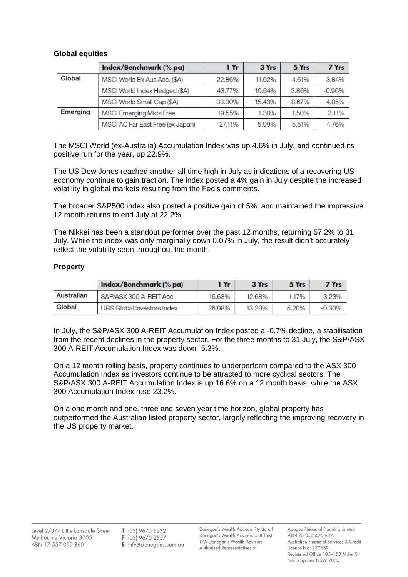# **Global equities**

|                 | Index/Benchmark (% pa)           | 1 Yr   | 3 Yrs  | 5 Yrs | 7 Yrs    |
|-----------------|----------------------------------|--------|--------|-------|----------|
| Global          | MSCI World Ex Aus Acc. (\$A)     | 22.86% | 11.62% | 4.61% | 3.84%    |
|                 | MSCI World Index Hedged (\$A)    | 43.77% | 10.64% | 3.86% | $-0.96%$ |
|                 | MSCI World Small Cap (\$A)       | 33.30% | 15.43% | 8.67% | 4.85%    |
| <b>Emerging</b> | MSCI Emerging Mkts Free          | 19.55% | 1.30%  | 1.50% | 3.11%    |
|                 | MSCI AC Far East Free (ex Japan) | 27.11% | 5.99%  | 5.51% | 4.76%    |

The MSCI World (ex-Australia) Accumulation Index was up 4.6% in July, and continued its positive run for the year, up 22.9%.

The US Dow Jones reached another all-time high in July as indications of a recovering US economy continue to gain traction. The index posted a 4% gain in July despite the increased volatility in global markets resulting from the Fed's comments.

The broader S&P500 index also posted a positive gain of 5%, and maintained the impressive 12 month returns to end July at 22.2%.

The Nikkei has been a standout performer over the past 12 months, returning 57.2% to 31 July. While the index was only marginally down 0.07% in July, the result didn't accurately reflect the volatility seen throughout the month.

### **Property**

|            | Index/Benchmark (% pa)     | 1 Yr   | 3 Yrs  | 5 Yrs | 7 Yrs     |
|------------|----------------------------|--------|--------|-------|-----------|
| Australian | S&P/ASX 300 A-REIT Acc     | 16.63% | 12.68% | 1.17% | $-3.23\%$ |
| Global     | UBS Global Investors Index | 26.98% | 13.29% | 5.20% | -0.30%    |

In July, the S&P/ASX 300 A-REIT Accumulation Index posted a -0.7% decline, a stabilisation from the recent declines in the property sector. For the three months to 31 July, the S&P/ASX 300 A-REIT Accumulation Index was down -5.3%.

On a 12 month rolling basis, property continues to underperform compared to the ASX 300 Accumulation Index as investors continue to be attracted to more cyclical sectors. The S&P/ASX 300 A-REIT Accumulation Index is up 16.6% on a 12 month basis, while the ASX 300 Accumulation Index rose 23.2%.

On a one month and one, three and seven year time horizon, global property has outperformed the Australian listed property sector, largely reflecting the improving recovery in the US property market.